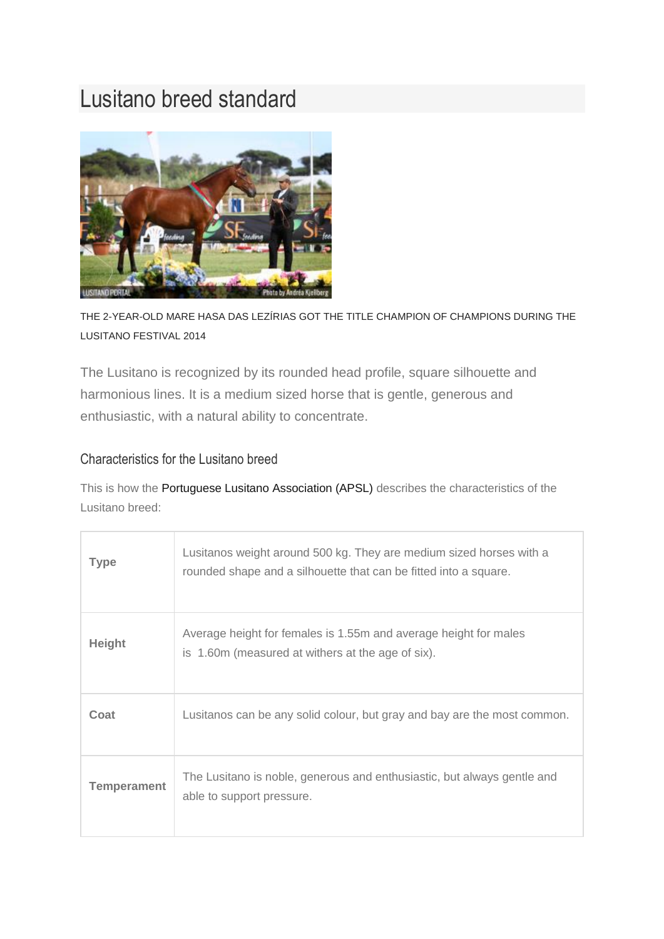## Lusitano breed standard



THE 2-YEAR-OLD MARE HASA DAS LEZÍRIAS GOT THE TITLE CHAMPION OF CHAMPIONS DURING THE LUSITANO FESTIVAL 2014

The Lusitano is recognized by its rounded head profile, square silhouette and harmonious lines. It is a medium sized horse that is gentle, generous and enthusiastic, with a natural ability to concentrate.

## Characteristics for the Lusitano breed

This is how the [Portuguese Lusitano Association \(APSL\)](http://bit.ly/1pLjGHs) describes the characteristics of the Lusitano breed:

| <b>Type</b>        | Lusitanos weight around 500 kg. They are medium sized horses with a<br>rounded shape and a silhouette that can be fitted into a square. |
|--------------------|-----------------------------------------------------------------------------------------------------------------------------------------|
| <b>Height</b>      | Average height for females is 1.55m and average height for males<br>is 1.60m (measured at withers at the age of six).                   |
| Coat               | Lusitanos can be any solid colour, but gray and bay are the most common.                                                                |
| <b>Temperament</b> | The Lusitano is noble, generous and enthusiastic, but always gentle and<br>able to support pressure.                                    |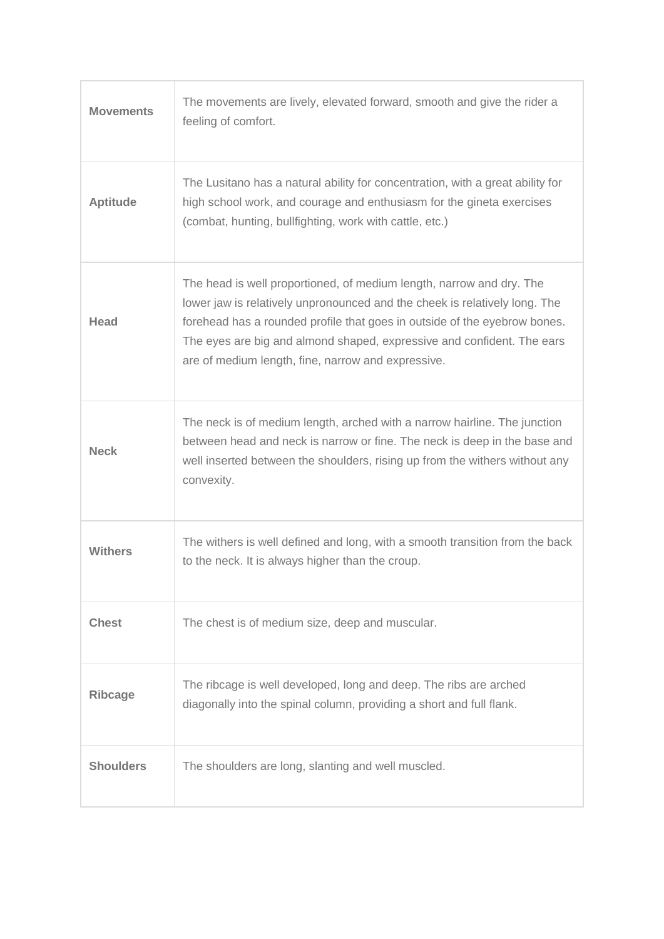| <b>Movements</b> | The movements are lively, elevated forward, smooth and give the rider a<br>feeling of comfort.                                                                                                                                                                                                                                                                  |
|------------------|-----------------------------------------------------------------------------------------------------------------------------------------------------------------------------------------------------------------------------------------------------------------------------------------------------------------------------------------------------------------|
| <b>Aptitude</b>  | The Lusitano has a natural ability for concentration, with a great ability for<br>high school work, and courage and enthusiasm for the gineta exercises<br>(combat, hunting, bullfighting, work with cattle, etc.)                                                                                                                                              |
| Head             | The head is well proportioned, of medium length, narrow and dry. The<br>lower jaw is relatively unpronounced and the cheek is relatively long. The<br>forehead has a rounded profile that goes in outside of the eyebrow bones.<br>The eyes are big and almond shaped, expressive and confident. The ears<br>are of medium length, fine, narrow and expressive. |
| <b>Neck</b>      | The neck is of medium length, arched with a narrow hairline. The junction<br>between head and neck is narrow or fine. The neck is deep in the base and<br>well inserted between the shoulders, rising up from the withers without any<br>convexity.                                                                                                             |
| Withers          | The withers is well defined and long, with a smooth transition from the back<br>to the neck. It is always higher than the croup.                                                                                                                                                                                                                                |
| <b>Chest</b>     | The chest is of medium size, deep and muscular.                                                                                                                                                                                                                                                                                                                 |
| <b>Ribcage</b>   | The ribcage is well developed, long and deep. The ribs are arched<br>diagonally into the spinal column, providing a short and full flank.                                                                                                                                                                                                                       |
| <b>Shoulders</b> | The shoulders are long, slanting and well muscled.                                                                                                                                                                                                                                                                                                              |